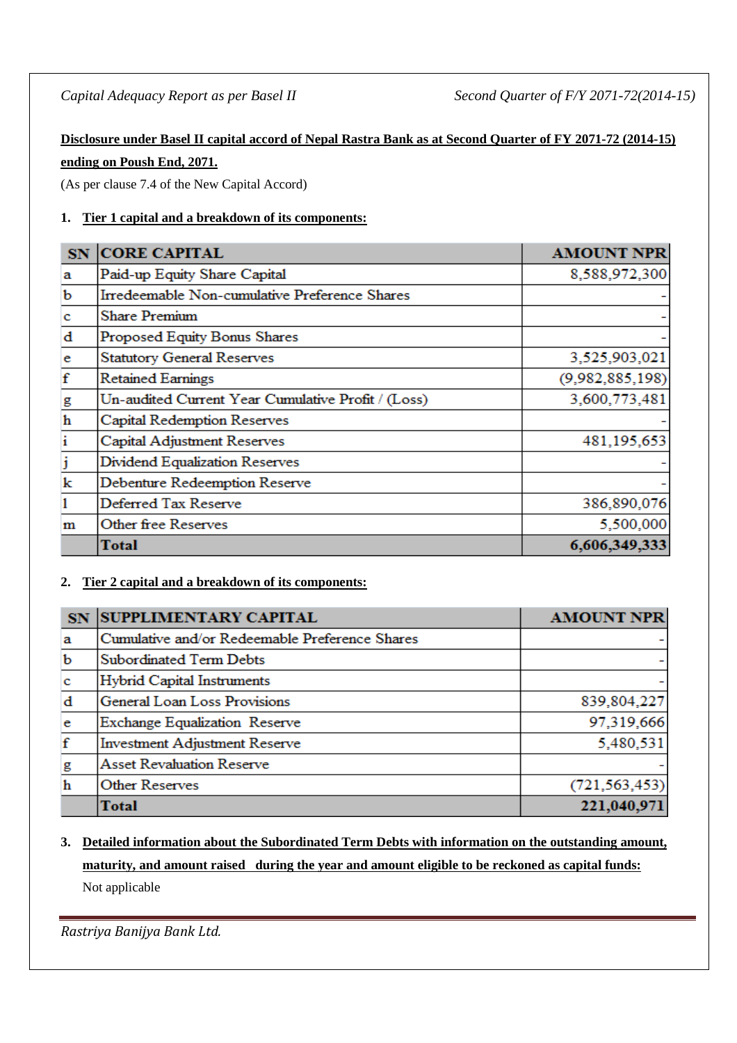# **Disclosure under Basel II capital accord of Nepal Rastra Bank as at Second Quarter of FY 2071-72 (2014-15) ending on Poush End, 2071.**

(As per clause 7.4 of the New Capital Accord)

# **1. Tier 1 capital and a breakdown of its components:**

| <b>SN</b>               | <b>CORE CAPITAL</b>                                | <b>AMOUNT NPR</b> |
|-------------------------|----------------------------------------------------|-------------------|
| a                       | Paid-up Equity Share Capital                       | 8,588,972,300     |
| b                       | Irredeemable Non-cumulative Preference Shares      |                   |
| $\mathbf c$             | <b>Share Premium</b>                               |                   |
| $\mathbf d$             | Proposed Equity Bonus Shares                       |                   |
| e.                      | <b>Statutory General Reserves</b>                  | 3,525,903,021     |
| $\mathbf f$             | <b>Retained Earnings</b>                           | (9,982,885,198)   |
| $\overline{\mathbf{g}}$ | Un-audited Current Year Cumulative Profit / (Loss) | 3,600,773,481     |
| $\mathbf h$             | Capital Redemption Reserves                        |                   |
| $\mathbf{i}$            | Capital Adjustment Reserves                        | 481,195,653       |
| j                       | Dividend Equalization Reserves                     |                   |
| $\mathbf k$             | Debenture Redeemption Reserve                      |                   |
| 1                       | Deferred Tax Reserve                               | 386,890,076       |
| m                       | Other free Reserves                                | 5,500,000         |
|                         | Total                                              | 6,606,349,333     |

# **2. Tier 2 capital and a breakdown of its components:**

| SN.         | <b>SUPPLIMENTARY CAPITAL</b>                   | <b>AMOUNT NPR</b> |
|-------------|------------------------------------------------|-------------------|
| a           | Cumulative and/or Redeemable Preference Shares |                   |
| $\mathbf b$ | <b>Subordinated Term Debts</b>                 |                   |
| $\mathbf c$ | <b>Hybrid Capital Instruments</b>              |                   |
| $\mathbf d$ | General Loan Loss Provisions                   | 839,804,227       |
| e           | Exchange Equalization Reserve                  | 97,319,666        |
| $\mathbf f$ | <b>Investment Adjustment Reserve</b>           | 5,480,531         |
| g           | <b>Asset Revaluation Reserve</b>               |                   |
| $\mathbf h$ | <b>Other Reserves</b>                          | (721, 563, 453)   |
|             | <b>Total</b>                                   | 221,040,971       |

# **3. Detailed information about the Subordinated Term Debts with information on the outstanding amount, maturity, and amount raised during the year and amount eligible to be reckoned as capital funds:** Not applicable

*Rastriya Banijya Bank Ltd.*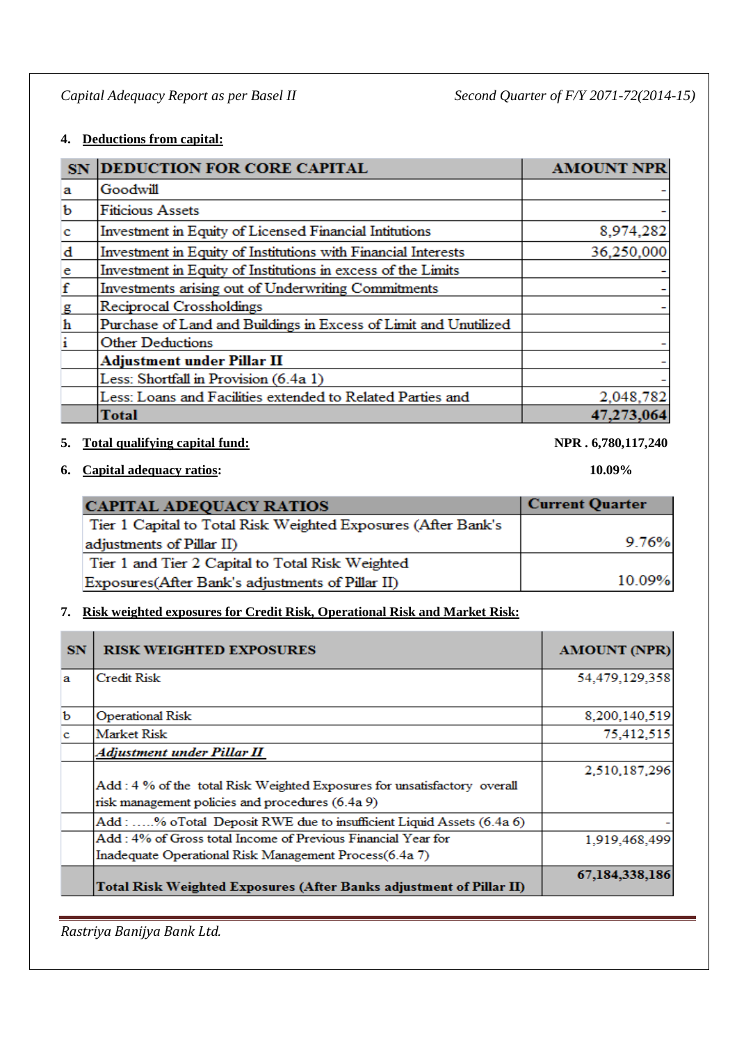## **4. Deductions from capital:**

| SN           | <b>DEDUCTION FOR CORE CAPITAL</b>                                | <b>AMOUNT NPR</b> |
|--------------|------------------------------------------------------------------|-------------------|
| a            | Goodwill                                                         |                   |
| b            | <b>Fiticious Assets</b>                                          |                   |
| $\mathbf{c}$ | Investment in Equity of Licensed Financial Intitutions           | 8,974,282         |
| d            | Investment in Equity of Institutions with Financial Interests    | 36,250,000        |
| $\mathbf{e}$ | Investment in Equity of Institutions in excess of the Limits     |                   |
| $\mathbf f$  | Investments arising out of Underwriting Commitments              |                   |
| g            | Reciprocal Crossholdings                                         |                   |
| $\mathbf h$  | Purchase of Land and Buildings in Excess of Limit and Unutilized |                   |
| i            | <b>Other Deductions</b>                                          |                   |
|              | <b>Adjustment under Pillar II</b>                                |                   |
|              | Less: Shortfall in Provision (6.4a 1)                            |                   |
|              | Less: Loans and Facilities extended to Related Parties and       | 2,048,782         |
|              | Total                                                            | 47,273,064        |

## **5. Total qualifying capital fund: NPR . 6,780,117,240**

**6. Capital adequacy ratios: 10.09%**

| <b>CAPITAL ADEQUACY RATIOS</b>                                | <b>Current Quarter</b> |
|---------------------------------------------------------------|------------------------|
| Tier 1 Capital to Total Risk Weighted Exposures (After Bank's |                        |
| adjustments of Pillar II)                                     | 9.76%                  |
| Tier 1 and Tier 2 Capital to Total Risk Weighted              |                        |
| Exposures (After Bank's adjustments of Pillar II)             | 10.09%                 |

## **7. Risk weighted exposures for Credit Risk, Operational Risk and Market Risk:**

| <b>SN</b> | <b>RISK WEIGHTED EXPOSURES</b>                                                                                               | <b>AMOUNT (NPR)</b> |
|-----------|------------------------------------------------------------------------------------------------------------------------------|---------------------|
| a         | Credit Risk                                                                                                                  | 54,479,129,358      |
| b         | <b>Operational Risk</b>                                                                                                      | 8,200,140,519       |
| c         | Market Risk                                                                                                                  | 75,412,515          |
|           | Adjustment under Pillar II                                                                                                   |                     |
|           | Add: 4 % of the total Risk Weighted Exposures for unsatisfactory overall<br>risk management policies and procedures (6.4a 9) | 2,510,187,296       |
|           | Add: % oTotal Deposit RWE due to insufficient Liquid Assets (6.4a 6)                                                         |                     |
|           | Add : 4% of Gross total Income of Previous Financial Year for<br>Inadequate Operational Risk Management Process(6.4a 7)      | 1,919,468,499       |
|           | Total Risk Weighted Exposures (After Banks adjustment of Pillar II)                                                          | 67,184,338,186      |

*Rastriya Banijya Bank Ltd.*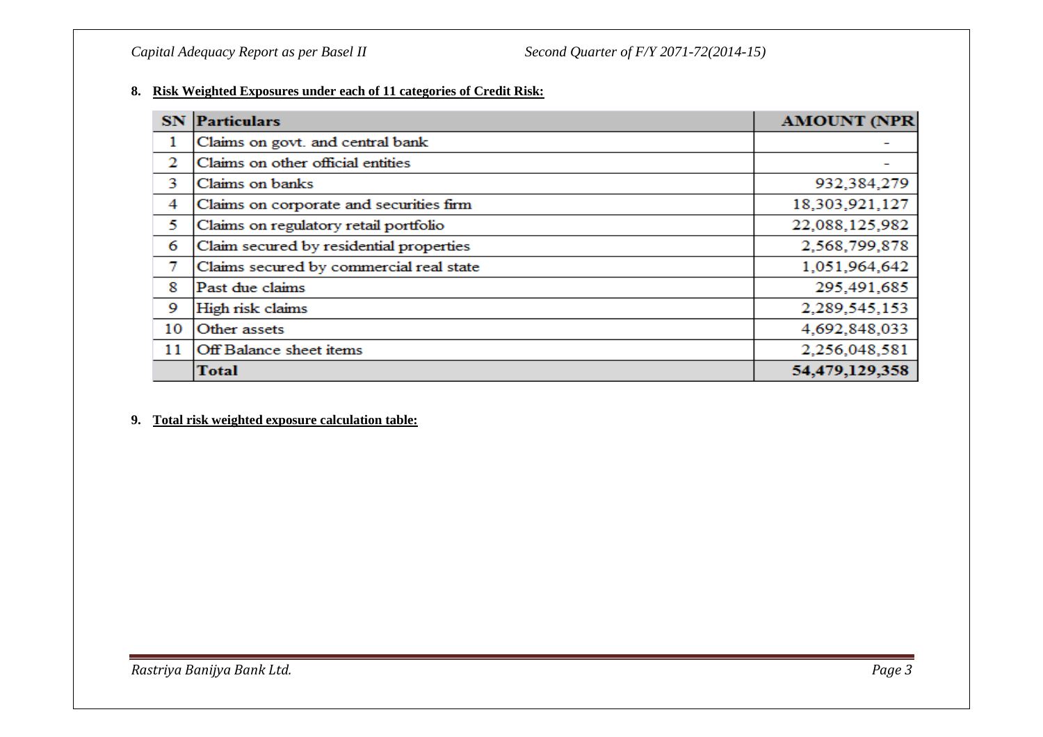### **8. Risk Weighted Exposures under each of 11 categories of Credit Risk:**

|    | <b>SN</b> Particulars                   | <b>AMOUNT (NPR)</b> |
|----|-----------------------------------------|---------------------|
| 1  | Claims on govt. and central bank        |                     |
| 2  | Claims on other official entities       |                     |
| 3  | Claims on banks                         | 932,384,279         |
| 4  | Claims on corporate and securities firm | 18,303,921,127      |
| 5  | Claims on regulatory retail portfolio   | 22,088,125,982      |
| 6  | Claim secured by residential properties | 2,568,799,878       |
| 7  | Claims secured by commercial real state | 1,051,964,642       |
| 8  | Past due claims                         | 295,491,685         |
| 9  | High risk claims                        | 2,289,545,153       |
| 10 | Other assets                            | 4,692,848,033       |
| 11 | Off Balance sheet items                 | 2,256,048,581       |
|    | <b>Total</b>                            | 54,479,129,358      |

#### **9. Total risk weighted exposure calculation table:**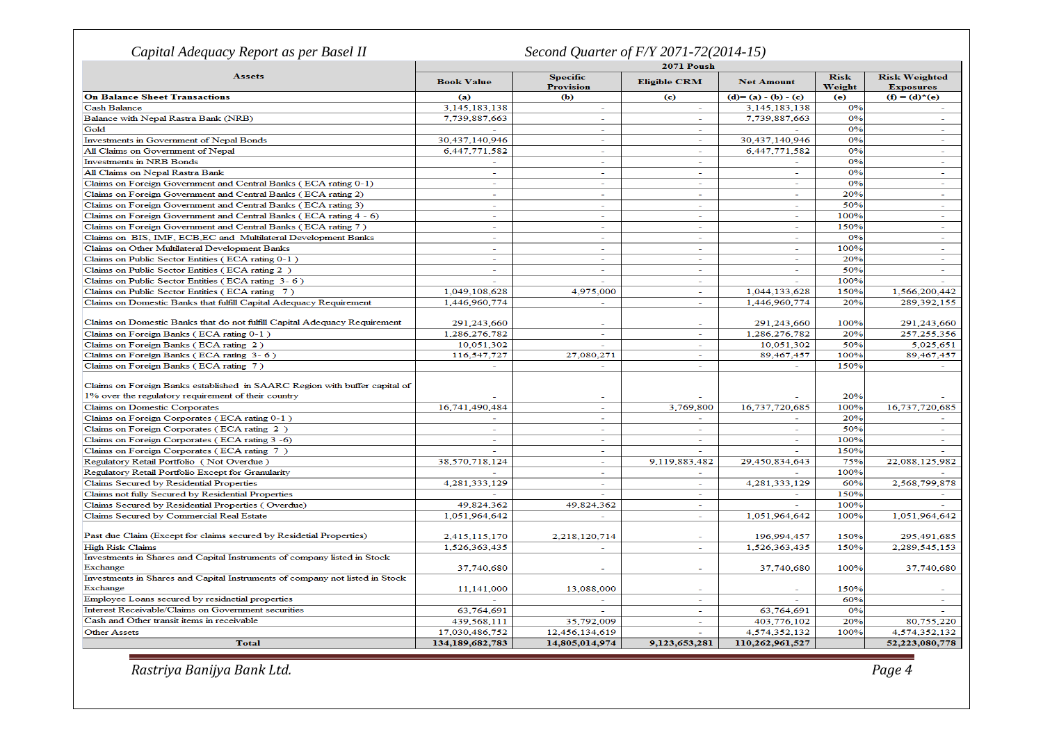| Capital Adequacy Report as per Basel II<br>Second Quarter of F/Y 2071-72(2014-15)                                                 |                   |                                     |                          |                          |                       |                                          |
|-----------------------------------------------------------------------------------------------------------------------------------|-------------------|-------------------------------------|--------------------------|--------------------------|-----------------------|------------------------------------------|
| <b>2071 Poush</b>                                                                                                                 |                   |                                     |                          |                          |                       |                                          |
| <b>Assets</b>                                                                                                                     | <b>Book Value</b> | <b>Specific</b><br><b>Provision</b> | <b>Eligible CRM</b>      | <b>Net Amount</b>        | <b>Risk</b><br>Weight | <b>Risk Weighted</b><br><b>Exposures</b> |
| <b>On Balance Sheet Transactions</b>                                                                                              | (a)               | <b>(b)</b>                          | $\left($ c $\right)$     | $(d)=(a)-(b)-(c)$        | (e)                   | $(f) = (d)^*(e)$                         |
| <b>Cash Balance</b>                                                                                                               | 3,145,183,138     | ÷.                                  |                          | 3,145,183,138            | 0%                    |                                          |
| Balance with Nepal Rastra Bank (NRB)                                                                                              | 7,739,887,663     | $\sim$                              | ÷                        | 7,739,887,663            | 0%                    | $\sim$                                   |
| Gold                                                                                                                              |                   | $\sim$                              | $\sim$                   |                          | 0%                    | $\sim$                                   |
| Investments in Government of Nepal Bonds                                                                                          | 30,437,140,946    | ÷                                   | ÷                        | 30,437,140,946           | 0%                    | $\sim$                                   |
| All Claims on Government of Nepal                                                                                                 | 6,447,771,582     | $\sim$                              | ÷                        | 6,447,771,582            | 0%                    | $\sim$                                   |
| <b>Investments</b> in NRB Bonds                                                                                                   |                   | $\sim$                              | $\overline{\phantom{a}}$ |                          | 0%                    | ÷.                                       |
| All Claims on Nepal Rastra Bank                                                                                                   | $\sim$            | $\sim$                              | ٠                        | $\sim$                   | 0%                    | ÷.                                       |
| Claims on Foreign Government and Central Banks (ECA rating 0-1)                                                                   | $\sim$            | $\sim$                              | ÷                        | $\sim$                   | 0%                    | $\sim$                                   |
| Claims on Foreign Government and Central Banks (ECA rating 2)                                                                     |                   |                                     |                          |                          | 20%                   |                                          |
| Claims on Foreign Government and Central Banks (ECA rating 3)                                                                     | ÷                 | $\sim$                              | ٠                        | $\sim$                   | 50%                   | ÷                                        |
| Claims on Foreign Government and Central Banks (ECA rating 4 - 6)                                                                 | $\sim$            | $\overline{\phantom{0}}$            | $\overline{\phantom{0}}$ | $\overline{a}$           | 100%                  | $\sim$                                   |
| Claims on Foreign Government and Central Banks (ECA rating 7)                                                                     | $\sim$            |                                     |                          |                          | 150%                  | ÷,                                       |
| Claims on BIS, IMF, ECB, EC and Multilateral Development Banks                                                                    | $\sim$            | $\sim$                              | ÷.                       | $\overline{\phantom{a}}$ | 0%                    | ÷                                        |
| Claims on Other Multilateral Development Banks                                                                                    | $\sim$            | $\sim$                              | $\overline{\phantom{0}}$ | $\sim$                   | 100%                  | $\sim$                                   |
| Claims on Public Sector Entities (ECA rating 0-1)                                                                                 | $\sim$            | $\equiv$                            | L,                       |                          | 20%                   | ÷.                                       |
| Claims on Public Sector Entities (ECA rating 2)                                                                                   | $\sim$            | $\sim$                              | ÷.                       | $\overline{\phantom{a}}$ | 50%                   | $\sim$                                   |
| Claims on Public Sector Entities (ECA rating 3-6)                                                                                 |                   |                                     | $\sim$                   |                          | 100%                  |                                          |
| Claims on Public Sector Entities (ECA rating 7)                                                                                   | 1,049,108,628     | 4,975,000                           | ÷                        | 1,044,133,628            | 150%                  | 1,566,200,442                            |
| Claims on Domestic Banks that fulfill Capital Adequacy Requirement                                                                | 1,446,960,774     | ÷                                   | ÷,                       | 1,446,960,774            | 20%                   | 289,392,155                              |
|                                                                                                                                   |                   |                                     |                          |                          |                       |                                          |
| Claims on Domestic Banks that do not fulfill Capital Adequacy Requirement                                                         | 291,243,660       |                                     |                          | 291,243,660              | 100%                  | 291,243,660                              |
| Claims on Foreign Banks (ECA rating 0-1)                                                                                          | 1,286,276,782     | $\sim$                              | $\overline{\phantom{a}}$ | 1.286.276.782            | 20%                   | 257, 255, 356                            |
| Claims on Foreign Banks (ECA rating 2)                                                                                            | 10,051,302        | ÷                                   | $\overline{a}$           | 10,051,302               | 50%                   | 5,025,651                                |
| Claims on Foreign Banks (ECA rating 3-6)                                                                                          | 116,547,727       | 27,080,271                          | $\sim$                   | 89,467,457               | 100%                  | 89,467,457                               |
| Claims on Foreign Banks (ECA rating 7)                                                                                            |                   | ۰                                   |                          |                          | 150%                  |                                          |
| Claims on Foreign Banks established in SAARC Region with buffer capital of<br>1% over the regulatory requirement of their country |                   |                                     |                          |                          | 20%                   |                                          |
| <b>Claims on Domestic Corporates</b>                                                                                              | 16,741,490,484    | $\overline{\phantom{0}}$            | 3,769,800                | 16,737,720,685           | 100%                  | 16,737,720,685                           |
| Claims on Foreign Corporates (ECA rating 0-1)                                                                                     |                   | $\sim$                              | L.                       |                          | 20%                   |                                          |
| Claims on Foreign Corporates (ECA rating 2)                                                                                       | $\sim$            | $\sim$                              | ä,                       | $\sim$                   | 50%                   | $\sim$                                   |
| Claims on Foreign Corporates (ECA rating 3 -6)                                                                                    |                   | ۰                                   |                          |                          | 100%                  |                                          |
| Claims on Foreign Corporates (ECA rating 7)                                                                                       |                   | $\sim$                              | $\overline{a}$           |                          | 150%                  |                                          |
| Regulatory Retail Portfolio (Not Overdue)                                                                                         | 38,570,718,124    |                                     | 9,119,883,482            | 29,450,834,643           | 75%                   | 22,088,125,982                           |
|                                                                                                                                   |                   | $\overline{\phantom{a}}$            |                          |                          | 100%                  |                                          |
| Regulatory Retail Portfolio Except for Granularity<br>Claims Secured by Residential Properties                                    | 4,281,333,129     | $\sim$                              | ÷.                       | 4,281,333,129            | 60%                   | 2,568,799,878                            |
| Claims not fully Secured by Residential Properties                                                                                |                   | $\sim$                              | ÷                        | $\sim$                   | 150%                  | $\sim$                                   |
| Claims Secured by Residential Properties (Overdue)                                                                                | 49.824.362        | 49,824,362                          |                          |                          | 100%                  |                                          |
| Claims Secured by Commercial Real Estate                                                                                          | 1,051,964,642     |                                     | ÷                        | 1,051,964,642            | 100%                  | 1,051,964,642                            |
|                                                                                                                                   |                   |                                     |                          |                          |                       |                                          |
| Past due Claim (Except for claims secured by Residetial Properties)                                                               | 2,415,115,170     | 2,218,120,714                       |                          | 196,994,457              | 150%                  | 295,491,685                              |
| <b>High Risk Claims</b>                                                                                                           | 1,526,363,435     | $\sim$                              | ÷                        | 1,526,363,435            | 150%                  | 2,289,545,153                            |
| Investments in Shares and Capital Instruments of company listed in Stock<br>Exchange                                              | 37,740,680        | $\overline{\phantom{a}}$            | L,                       | 37,740,680               | 100%                  | 37,740,680                               |
| Investments in Shares and Capital Instruments of company not listed in Stock<br><b>Exchange</b>                                   | 11,141,000        | 13,088,000                          |                          |                          | 150%                  |                                          |
| Employee Loans secured by residnetial properties                                                                                  |                   |                                     | ٠                        |                          | 60%                   | ÷                                        |
| Interest Receivable/Claims on Government securities                                                                               | 63,764,691        |                                     | $\sim$                   | 63,764,691               | 0%                    |                                          |
| Cash and Other transit items in receivable                                                                                        | 439,568,111       | 35,792,009                          | ÷                        | 403,776,102              | 20%                   | 80,755,220                               |
| <b>Other Assets</b>                                                                                                               | 17.030.486.752    | 12,456,134,619                      |                          | 4,574,352,132            | 100%                  | 4,574,352,132                            |
| <b>Total</b>                                                                                                                      | 134,189,682,783   | 14,805,014,974                      | 9,123,653,281            | 110,262,961,527          |                       | 52,223,080,778                           |

*Rastriya Banijya Bank Ltd. Page 4*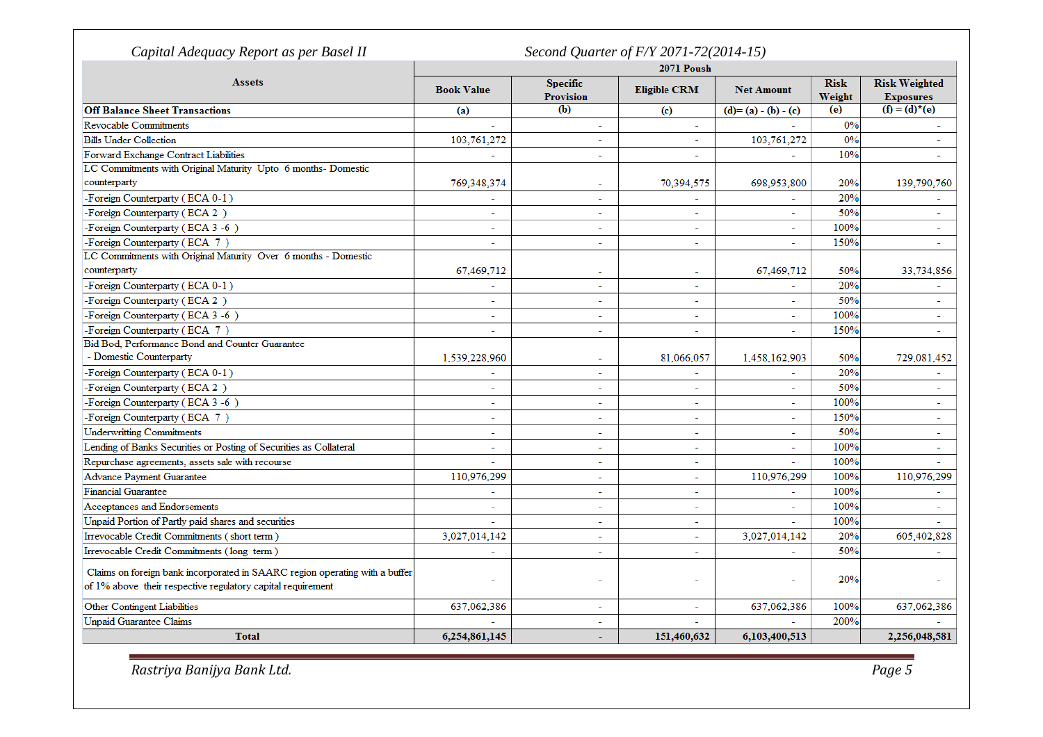| Capital Adequacy Report as per Basel II                                     | Second Quarter of F/Y 2071-72(2014-15) |                              |                          |                   |                       |                                          |  |
|-----------------------------------------------------------------------------|----------------------------------------|------------------------------|--------------------------|-------------------|-----------------------|------------------------------------------|--|
|                                                                             | 2071 Poush                             |                              |                          |                   |                       |                                          |  |
| <b>Assets</b>                                                               | <b>Book Value</b>                      | <b>Specific</b><br>Provision | <b>Eligible CRM</b>      | <b>Net Amount</b> | <b>Risk</b><br>Weight | <b>Risk Weighted</b><br><b>Exposures</b> |  |
| <b>Off Balance Sheet Transactions</b>                                       | (a)                                    | $\overline{(\mathbf{b})}$    | (c)                      | $(d)=(a)-(b)-(c)$ | (e)                   | $(f) = (d)^*(e)$                         |  |
| <b>Revocable Commitments</b>                                                | ä,                                     | ÷.                           | $\sim$                   |                   | 0%                    | ÷.                                       |  |
| <b>Bills Under Collection</b>                                               | 103,761,272                            | ÷.                           |                          | 103,761,272       | 0%                    |                                          |  |
| Forward Exchange Contract Liabilities                                       | $\sim$                                 | $\sim$                       |                          | ÷.                | 10%                   | ٠                                        |  |
| LC Commitments with Original Maturity Upto 6 months- Domestic               |                                        |                              |                          |                   |                       |                                          |  |
| counterparty                                                                | 769,348,374                            | $\sim$                       | 70,394,575               | 698,953,800       | 20%                   | 139,790,760                              |  |
| -Foreign Counterparty (ECA 0-1)                                             |                                        | $\sim$                       |                          |                   | 20%                   |                                          |  |
| -Foreign Counterparty (ECA 2)                                               |                                        | ÷.                           |                          | ÷                 | 50%                   | Ξ                                        |  |
| -Foreign Counterparty (ECA 3 -6)                                            | $\sim$                                 | $\sim$                       | $\sim$                   | ÷.                | 100%                  | ٠                                        |  |
| -Foreign Counterparty (ECA 7)                                               |                                        | $\overline{\phantom{a}}$     | $\sim$                   |                   | 150%                  |                                          |  |
| LC Commitments with Original Maturity Over 6 months - Domestic              |                                        |                              |                          |                   |                       |                                          |  |
| counterparty                                                                | 67,469,712                             | $\sim$                       | $\sim$                   | 67,469,712        | 50%                   | 33,734,856                               |  |
| -Foreign Counterparty (ECA 0-1)                                             | $\sim$                                 | $\overline{a}$               |                          | Ξ                 | 20%                   |                                          |  |
| -Foreign Counterparty (ECA 2)                                               |                                        | $\overline{a}$               | $\sim$                   | $\overline{a}$    | 50%                   | Ξ                                        |  |
| -Foreign Counterparty (ECA 3-6)                                             |                                        | $\overline{a}$               |                          | $\overline{a}$    | 100%                  | $\overline{a}$                           |  |
| -Foreign Counterparty (ECA 7)                                               | $\sim$                                 | $\sim$                       | $\sim$                   | ÷.                | 150%                  | ÷.                                       |  |
| Bid Bod, Performance Bond and Counter Guarantee                             |                                        |                              |                          |                   |                       |                                          |  |
| - Domestic Counterparty                                                     | 1,539,228,960                          | $\overline{\phantom{a}}$     | 81,066,057               | 1,458,162,903     | 50%                   | 729,081,452                              |  |
| -Foreign Counterparty (ECA 0-1)                                             |                                        | $\overline{\phantom{0}}$     |                          |                   | 20%                   |                                          |  |
| -Foreign Counterparty (ECA 2)                                               | $\sim$                                 | $\sim$                       | $\overline{\phantom{a}}$ | $\blacksquare$    | 50%                   | ÷.                                       |  |
| -Foreign Counterparty (ECA 3 -6)                                            |                                        | $\mathbf{r}$                 | $\overline{\phantom{a}}$ | $\blacksquare$    | 100%                  | ÷                                        |  |
| -Foreign Counterparty (ECA 7)                                               |                                        | $\overline{a}$               |                          | ٠                 | 150%                  | ٠                                        |  |
| <b>Underwritting Commitments</b>                                            | $\sim$                                 | $\sim$                       | $\sim$                   | ٠                 | 50%                   | ٠                                        |  |
| Lending of Banks Securities or Posting of Securities as Collateral          |                                        | $\sim$                       | $\sim$                   | ٠                 | 100%                  | ٠                                        |  |
| Repurchase agreements, assets sale with recourse                            | $\mathbf{r}$                           | $\sim$                       | $\overline{a}$           | L.                | 100%                  |                                          |  |
| <b>Advance Payment Guarantee</b>                                            | 110,976,299                            | $\sim$                       | $\sim$                   | 110,976,299       | 100%                  | 110,976,299                              |  |
| <b>Financial Guarantee</b>                                                  |                                        | $\sim$                       | $\overline{\phantom{a}}$ |                   | 100%                  |                                          |  |
| Acceptances and Endorsements                                                | $\sim$                                 | $\sim$                       |                          | ÷                 | 100%                  | ÷                                        |  |
| Unpaid Portion of Partly paid shares and securities                         |                                        | $\mathbf{r}$                 | $\sim$                   |                   | 100%                  |                                          |  |
| Irrevocable Credit Commitments (short term)                                 | 3,027,014,142                          | $\mathbf{r}$                 | $\sim$                   | 3,027,014,142     | 20%                   | 605,402,828                              |  |
| Irrevocable Credit Commitments (long term)                                  |                                        | $\sim$                       | $\sim$                   |                   | 50%                   |                                          |  |
| Claims on foreign bank incorporated in SAARC region operating with a buffer |                                        |                              |                          |                   |                       |                                          |  |
| of 1% above their respective regulatory capital requirement                 |                                        |                              |                          |                   | 20%                   |                                          |  |
| Other Contingent Liabilities                                                | 637,062,386                            | $\overline{\phantom{a}}$     | $\overline{\phantom{a}}$ | 637,062,386       | 100%                  | 637,062,386                              |  |
| <b>Unpaid Guarantee Claims</b>                                              |                                        | $\overline{a}$               |                          |                   | 200%                  |                                          |  |
| <b>Total</b>                                                                | 6,254,861,145                          |                              | 151,460,632              | 6,103,400,513     |                       | 2,256,048,581                            |  |

*Rastriya Banijya Bank Ltd. Page 5*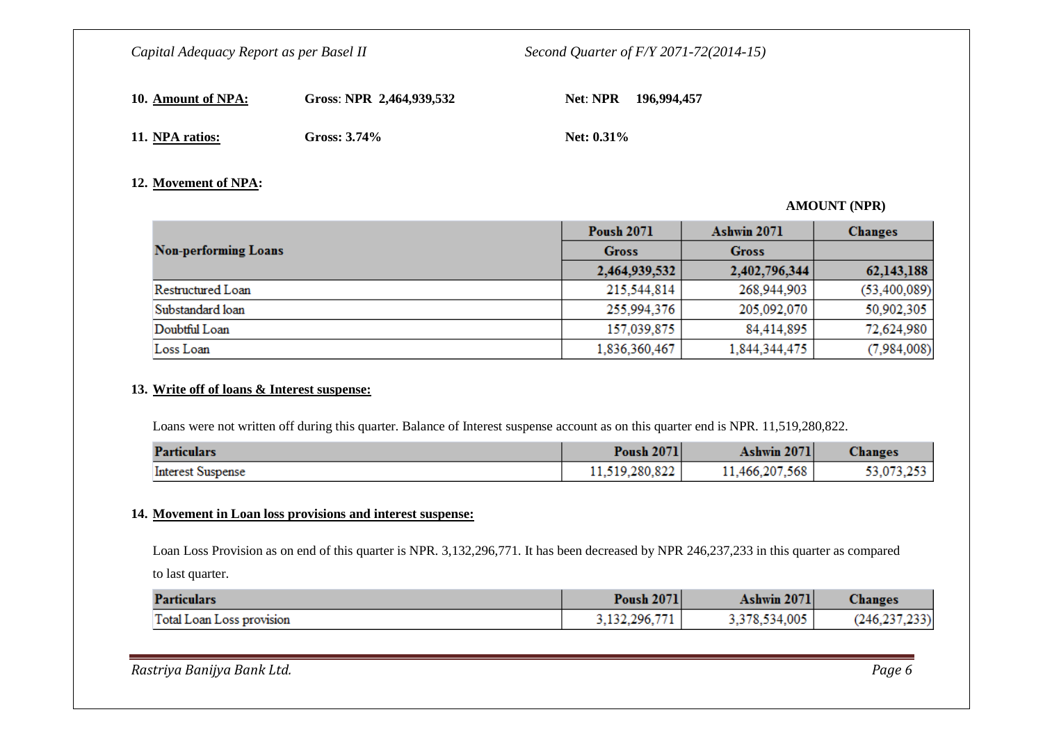| 10. Amount of NPA: \ | Gross: NPR 2,464,939,532 |               | Net: NPR 196,994,457 |
|----------------------|--------------------------|---------------|----------------------|
| 11. NPA ratios:      | Gross: $3.74\%$          | Net: $0.31\%$ |                      |

#### **12. Movement of NPA:**

#### **AMOUNT (NPR)**

|                             | <b>Poush 2071</b> | Ashwin 2071   | <b>Changes</b> |
|-----------------------------|-------------------|---------------|----------------|
| <b>Non-performing Loans</b> | <b>Gross</b>      | <b>Gross</b>  |                |
|                             | 2,464,939,532     | 2,402,796,344 | 62,143,188     |
| Restructured Loan           | 215,544,814       | 268,944,903   | (53, 400, 089) |
| Substandard loan            | 255,994,376       | 205,092,070   | 50,902,305     |
| Doubtful Loan               | 157,039,875       | 84,414,895    | 72,624,980     |
| Loss Loan                   | 1,836,360,467     | 1,844,344,475 | (7,984,008)    |

#### **13. Write off of loans & Interest suspense:**

Loans were not written off during this quarter. Balance of Interest suspense account as on this quarter end is NPR. 11,519,280,822.

| <b>Particulars</b>       | <b>Poush 2071</b> | Ashwin 2071    | Changes    |
|--------------------------|-------------------|----------------|------------|
| <b>Interest Suspense</b> | 11,519,280,822    | 11,466,207,568 | 53,073,253 |

### **14. Movement in Loan loss provisions and interest suspense:**

Loan Loss Provision as on end of this quarter is NPR. 3,132,296,771. It has been decreased by NPR 246,237,233 in this quarter as compared to last quarter.

| <b>Particulars</b>        | <b>Poush 2071</b> | Ashwin 2071   | Changes              |
|---------------------------|-------------------|---------------|----------------------|
| Total Loan Loss provision | 3,132,296,77      | 3,378,534,005 | (233)<br>$(246,2)$ . |

*Rastriya Banijya Bank Ltd. Page 6*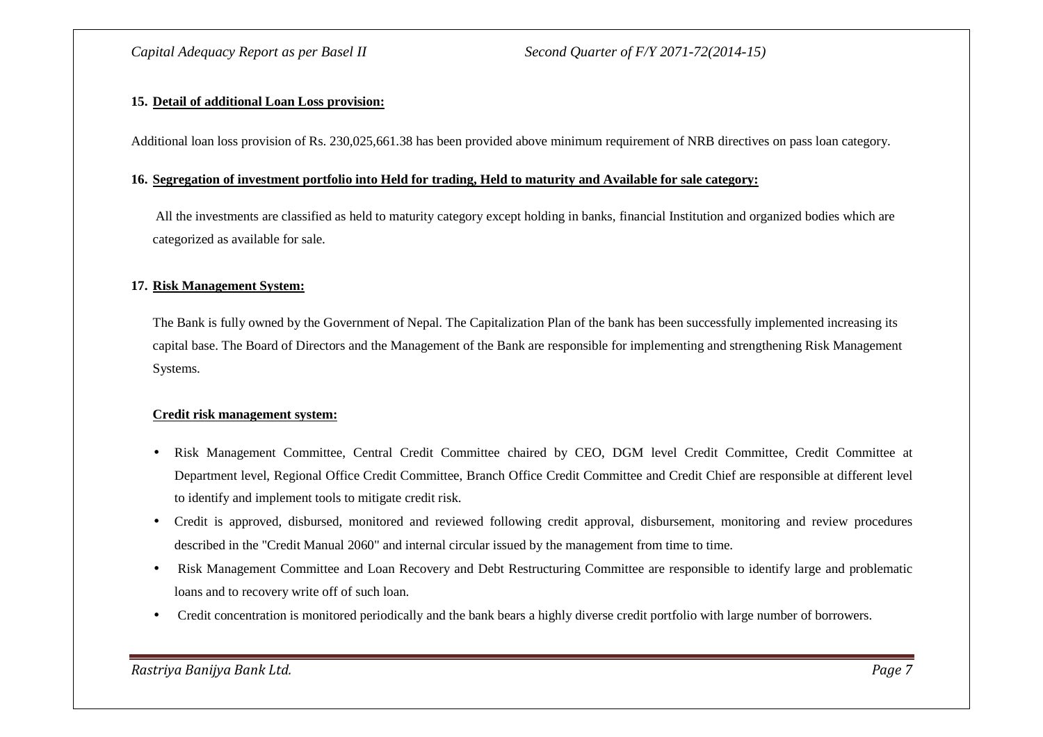### **15. Detail of additional Loan Loss provision:**

Additional loan loss provision of Rs. 230,025,661.38 has been provided above minimum requirement of NRB directives on pass loan category.

#### **16. Segregation of investment portfolio into Held for trading, Held to maturity and Available for sale category:**

All the investments are classified as held to maturity category except holding in banks, financial Institution and organized bodies which are categorized as available for sale.

#### **17. Risk Management System:**

The Bank is fully owned by the Government of Nepal. The Capitalization Plan of the bank has been successfully implemented increasing its capital base. The Board of Directors and the Management of the Bank are responsible for implementing and strengthening Risk Management Systems.

#### **Credit risk management system:**

- • Risk Management Committee, Central Credit Committee chaired by CEO, DGM level Credit Committee, Credit Committee at Department level, Regional Office Credit Committee, Branch Office Credit Committee and Credit Chief are responsible at different level to identify and implement tools to mitigate credit risk.
- $\bullet$  Credit is approved, disbursed, monitored and reviewed following credit approval, disbursement, monitoring and review procedures described in the "Credit Manual 2060" and internal circular issued by the management from time to time.
- Risk Management Committee and Loan Recovery and Debt Restructuring Committee are responsible to identify large and problematic loans and to recovery write off of such loan.
- Credit concentration is monitored periodically and the bank bears a highly diverse credit portfolio with large number of borrowers.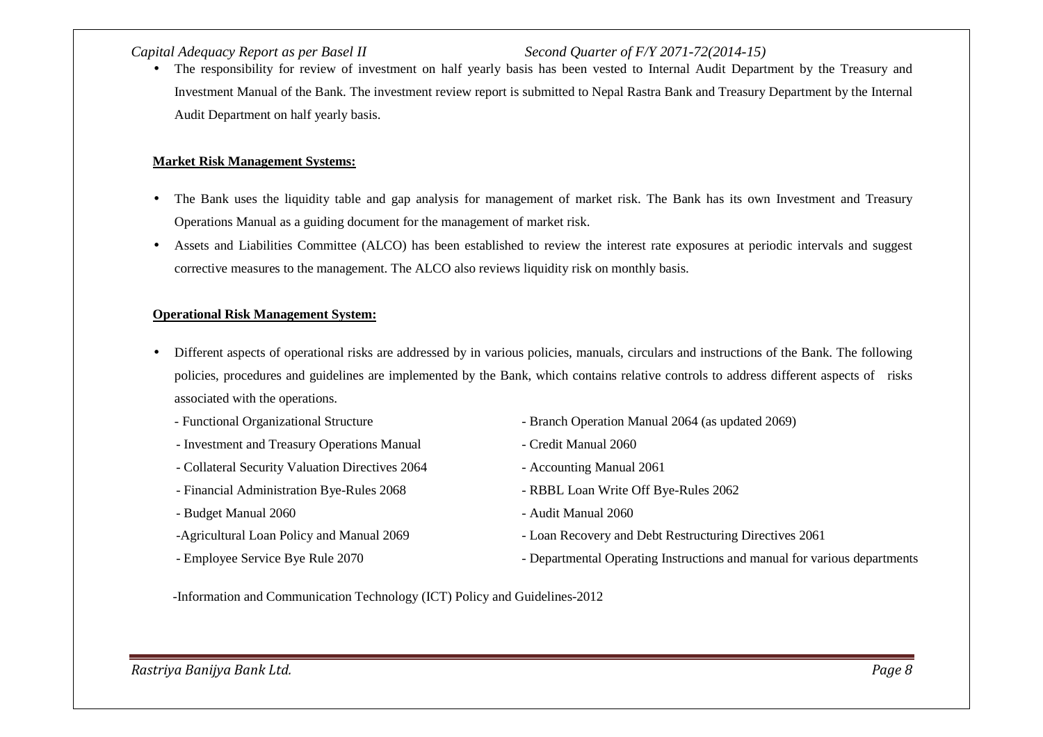The responsibility for review of investment on half yearly basis has been vested to Internal Audit Department by the Treasury and •Investment Manual of the Bank. The investment review report is submitted to Nepal Rastra Bank and Treasury Department by the Internal Audit Department on half yearly basis.

### **Market Risk Management Systems:**

- • The Bank uses the liquidity table and gap analysis for management of market risk. The Bank has its own Investment and Treasury Operations Manual as a guiding document for the management of market risk.
- $\bullet$  Assets and Liabilities Committee (ALCO) has been established to review the interest rate exposures at periodic intervals and suggest corrective measures to the management. The ALCO also reviews liquidity risk on monthly basis.

#### **Operational Risk Management System:**

- $\bullet$  Different aspects of operational risks are addressed by in various policies, manuals, circulars and instructions of the Bank. The following policies, procedures and guidelines are implemented by the Bank, which contains relative controls to address different aspects of risks associated with the operations.
	-
	- Investment and Treasury Operations Manual Credit Manual 2060
	- Collateral Security Valuation Directives 2064 Accounting Manual 2061
	- Financial Administration Bye-Rules 2068 RBBL Loan Write Off Bye-Rules 2062
	- Budget Manual 2060 Audit Manual 2060
	-
	-
- Functional Organizational Structure Branch Operation Manual 2064 (as updated 2069)
	-
	-
	-
	-
- -Agricultural Loan Policy and Manual 2069 Loan Recovery and Debt Restructuring Directives 2061
- Employee Service Bye Rule 2070 Departmental Operating Instructions and manual for various departments

-Information and Communication Technology (ICT) Policy and Guidelines-2012